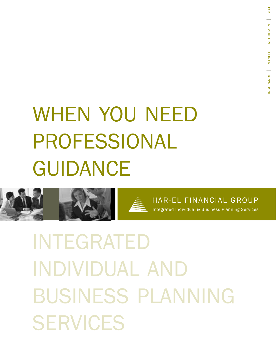# when you need professional **GUIDANCE**



Har-El Financial GrOUP integrated individual & Business Planning Services

# integrated individual and business planning **SERVICES**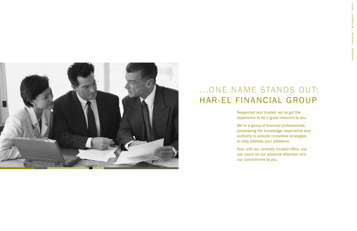Respected and trusted, we've got the experience to be a great resource to you.

We're a group of financial professionals, possessing the knowledge, experience and authority to provide innovative strategies to help address your problems.

And, with our centrally located office, you can count on our personal attention and



## ...ONE NAME STANDS OUT: Har-El Financial GrOUP

our commitment to you.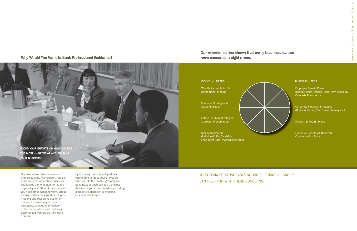corporate Financial Strategies (Business Transfer, Succession Planning, etc.)

Pension & 401 (k) Plans

Employee Beneft Plans (Group Health, Dental, Long Term Disability, cafeteria Plans, etc.)

Executive Benefts & Deferred compensation Plans



Because many business owners and executives, like yourself, realize that they can't meet their business challenges alone. in addition to the day-to-day operation of the business, you have other issues to worry about: fnding and keeping good employees, meeting and exceeding customer demands, developing tax-smart strategies, competing effectively in the marketplace, and replacing experienced workers as they leave or retire.

By receiving professional guidance, you're able to focus your efforts on what counts the most — growing and building your business. it's a process that keeps you in control while providing a proactive approach to meeting business challenges.

Why Would You Want to Seek Professional Guidance?

### Our experience has shown that many business owners



have concerns in eight areas:

your team of strategists at har-el financial group can help you with these concerns.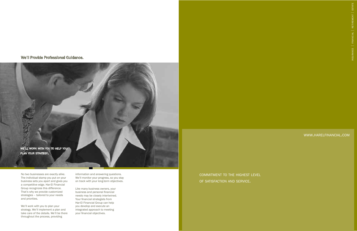No two businesses are exactly alike. The individual stamp you put on your business sets you apart and gives you a competitive edge. Har-El Financial Group recognizes this difference. That's why we provide customized strategies – tailored to your needs and priorities.

We'll work with you to plan your strategy. We'll implement a plan and take care of the details. We'll be there throughout the process, providing

information and answering questions. We'll monitor your progress, so you stay on track with your long-term objectives.

Like many business owners, your business and personal financial needs may be closely intertwined. Your financial strategists from Har-El Financial Group can help you develop and execute an integrated approach to meeting your financial objectives.

We'll Provide Professional Guidance.



### www.harelfinancial.com

commitment to the highest level of satisfaction and service.